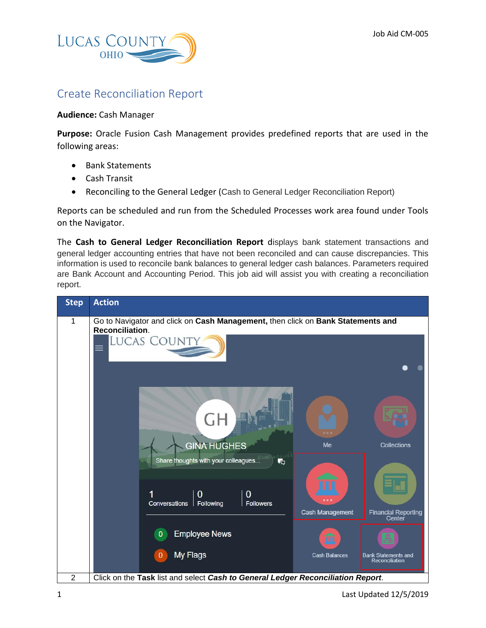

## Create Reconciliation Report

## **Audience:** Cash Manager

**Purpose:** Oracle Fusion Cash Management provides predefined reports that are used in the following areas:

- Bank Statements
- Cash Transit
- Reconciling to the General Ledger (Cash to General Ledger Reconciliation Report)

Reports can be scheduled and run from the Scheduled Processes work area found under Tools on the Navigator.

The **Cash to General Ledger Reconciliation Report** displays bank statement transactions and general ledger accounting entries that have not been reconciled and can cause discrepancies. This information is used to reconcile bank balances to general ledger cash balances. Parameters required are Bank Account and Accounting Period. This job aid will assist you with creating a reconciliation report.

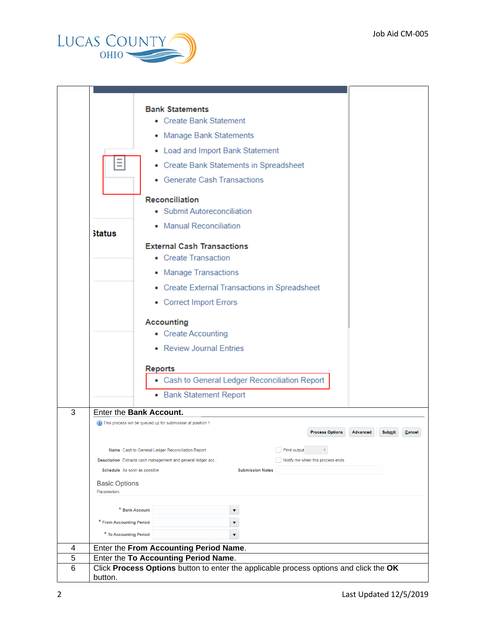

|   |                                                    | • Create Bank Statement                                                                                                                                                                         |
|---|----------------------------------------------------|-------------------------------------------------------------------------------------------------------------------------------------------------------------------------------------------------|
|   |                                                    | • Manage Bank Statements                                                                                                                                                                        |
|   | Ξ                                                  | • Load and Import Bank Statement                                                                                                                                                                |
|   |                                                    | • Create Bank Statements in Spreadsheet                                                                                                                                                         |
|   |                                                    | • Generate Cash Transactions                                                                                                                                                                    |
|   |                                                    | <b>Reconciliation</b>                                                                                                                                                                           |
|   |                                                    | • Submit Autoreconciliation                                                                                                                                                                     |
|   | <b>Status</b>                                      | • Manual Reconciliation                                                                                                                                                                         |
|   |                                                    | <b>External Cash Transactions</b><br>• Create Transaction                                                                                                                                       |
|   |                                                    | • Manage Transactions                                                                                                                                                                           |
|   |                                                    | • Create External Transactions in Spreadsheet                                                                                                                                                   |
|   |                                                    | • Correct Import Errors                                                                                                                                                                         |
|   |                                                    | <b>Accounting</b><br>• Create Accounting<br>• Review Journal Entries                                                                                                                            |
|   |                                                    | <b>Reports</b>                                                                                                                                                                                  |
|   |                                                    | • Cash to General Ledger Reconciliation Report                                                                                                                                                  |
|   |                                                    | • Bank Statement Report                                                                                                                                                                         |
| 3 | Enter the Bank Account.                            |                                                                                                                                                                                                 |
|   |                                                    | (i) This process will be queued up for submission at position 1<br><b>Process Options</b><br><b>Advanced</b><br><b>Submit</b><br>Cancel                                                         |
|   | Schedule As soon as possible                       | Print output<br>Name Cash to General Ledger Reconciliation Report<br>Notify me when this process ends<br>Description Extracts cash management and general ledger acc<br><b>Submission Notes</b> |
|   | <b>Basic Options</b><br>Parameters                 |                                                                                                                                                                                                 |
|   |                                                    |                                                                                                                                                                                                 |
|   | * Bank Account                                     |                                                                                                                                                                                                 |
|   | * From Accounting Period<br>* To Accounting Period |                                                                                                                                                                                                 |
|   |                                                    |                                                                                                                                                                                                 |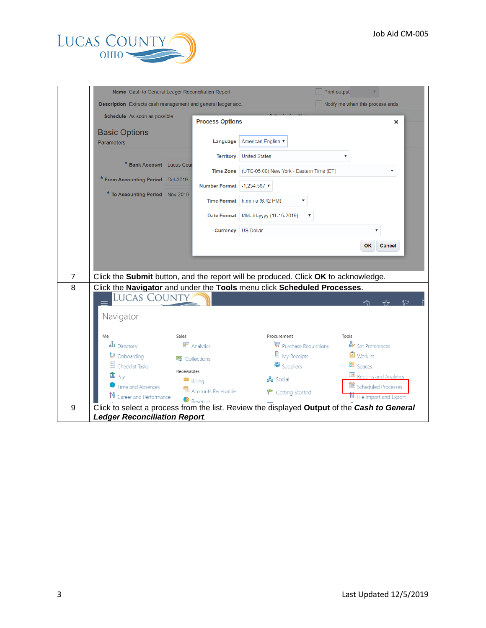

|                | Name Cash to General Ledger Reconciliation Report                                  |                                |                                          | Print output                                                                                |
|----------------|------------------------------------------------------------------------------------|--------------------------------|------------------------------------------|---------------------------------------------------------------------------------------------|
|                | Description Extracts cash management and general ledger acc                        |                                |                                          | Notify me when this process ends                                                            |
|                | Schedule As soon as possible                                                       | <b>Process Options</b>         |                                          | ×                                                                                           |
|                | <b>Basic Options</b>                                                               |                                |                                          |                                                                                             |
|                | <b>Parameters</b>                                                                  | Language                       | American English ▼                       |                                                                                             |
|                | <b>* Bank Account</b> Lucas Cour                                                   | <b>Territory</b>               | <b>United States</b>                     |                                                                                             |
|                |                                                                                    | <b>Time Zone</b>               | (UTC-05:00) New York - Eastern Time (ET) | ▼                                                                                           |
|                | * From Accounting Period Oct-2019                                                  | Number Format -1,234.567 ▼     |                                          |                                                                                             |
|                | * To Accounting Period Nov-2019                                                    |                                | Time Format h:mm a (6:42 PM)             |                                                                                             |
|                |                                                                                    |                                | Date Format MM-dd-yyyy (11-15-2019)      |                                                                                             |
|                |                                                                                    |                                | <b>Currency</b> US Dollar                |                                                                                             |
|                |                                                                                    |                                |                                          | <b>OK</b><br><b>Cancel</b>                                                                  |
| $\overline{7}$ | Click the Submit button, and the report will be produced. Click OK to acknowledge. |                                |                                          |                                                                                             |
| 8              | Click the Navigator and under the Tools menu click Scheduled Processes.            |                                |                                          |                                                                                             |
|                | <b>LUCAS COUNTY</b><br>Navigator                                                   |                                |                                          |                                                                                             |
|                | Me<br>Sales                                                                        |                                | Procurement                              | Tools                                                                                       |
|                | th Directory                                                                       | <b>F</b> Analytics             | $\mathbf{F}$ Purchase Requisitions       | Set Preferences                                                                             |
|                | <b>it</b> Onboarding                                                               | 图 Collections                  | My Receipts                              | Worklist                                                                                    |
|                | 图 Checklist Tasks                                                                  | Receivables                    | <b>in</b> Suppliers                      | <b>問</b> Spaces                                                                             |
|                | $\hat{m}$ Pay                                                                      | $\blacksquare$ Billing         | 点 Social                                 | Reports and Analytics                                                                       |
|                | Time and Absences<br><b>IV</b> Career and Performance                              | Accounts Receivable<br>Revenue | Getting Started                          | Scheduled Processes<br>TV File Import and Export                                            |
| 9              |                                                                                    |                                |                                          | Click to select a process from the list. Review the displayed Output of the Cash to General |
|                | <b>Ledger Reconciliation Report.</b>                                               |                                |                                          |                                                                                             |